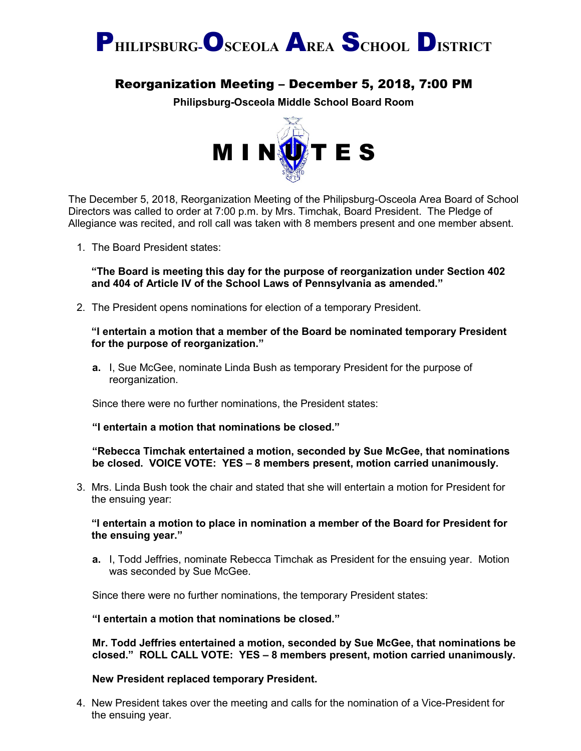

# Reorganization Meeting – December 5, 2018, 7:00 PM

**Philipsburg-Osceola Middle School Board Room**



The December 5, 2018, Reorganization Meeting of the Philipsburg-Osceola Area Board of School Directors was called to order at 7:00 p.m. by Mrs. Timchak, Board President. The Pledge of Allegiance was recited, and roll call was taken with 8 members present and one member absent.

1. The Board President states:

**"The Board is meeting this day for the purpose of reorganization under Section 402 and 404 of Article IV of the School Laws of Pennsylvania as amended."**

2. The President opens nominations for election of a temporary President.

#### **"I entertain a motion that a member of the Board be nominated temporary President for the purpose of reorganization."**

**a.** I, Sue McGee, nominate Linda Bush as temporary President for the purpose of reorganization.

Since there were no further nominations, the President states:

**"I entertain a motion that nominations be closed."**

**"Rebecca Timchak entertained a motion, seconded by Sue McGee, that nominations be closed. VOICE VOTE: YES – 8 members present, motion carried unanimously.**

3. Mrs. Linda Bush took the chair and stated that she will entertain a motion for President for the ensuing year:

#### **"I entertain a motion to place in nomination a member of the Board for President for the ensuing year."**

**a.** I, Todd Jeffries, nominate Rebecca Timchak as President for the ensuing year. Motion was seconded by Sue McGee.

Since there were no further nominations, the temporary President states:

**"I entertain a motion that nominations be closed."**

**Mr. Todd Jeffries entertained a motion, seconded by Sue McGee, that nominations be closed." ROLL CALL VOTE: YES – 8 members present, motion carried unanimously.**

#### **New President replaced temporary President.**

4. New President takes over the meeting and calls for the nomination of a Vice-President for the ensuing year.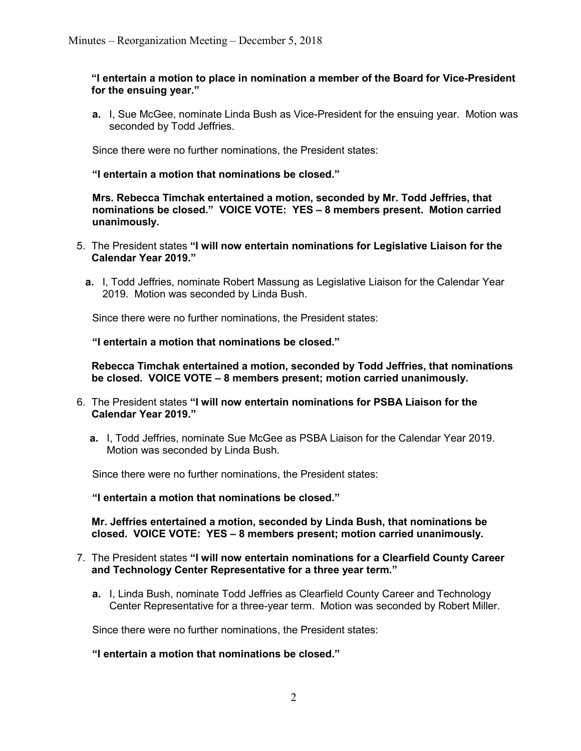#### **"I entertain a motion to place in nomination a member of the Board for Vice-President for the ensuing year."**

**a.** I, Sue McGee, nominate Linda Bush as Vice-President for the ensuing year. Motion was seconded by Todd Jeffries.

Since there were no further nominations, the President states:

#### **"I entertain a motion that nominations be closed."**

**Mrs. Rebecca Timchak entertained a motion, seconded by Mr. Todd Jeffries, that nominations be closed." VOICE VOTE: YES – 8 members present. Motion carried unanimously.**

- 5. The President states **"I will now entertain nominations for Legislative Liaison for the Calendar Year 2019."**
	- **a.** I, Todd Jeffries, nominate Robert Massung as Legislative Liaison for the Calendar Year 2019. Motion was seconded by Linda Bush.

Since there were no further nominations, the President states:

**"I entertain a motion that nominations be closed."**

**Rebecca Timchak entertained a motion, seconded by Todd Jeffries, that nominations be closed. VOICE VOTE – 8 members present; motion carried unanimously.**

- 6. The President states **"I will now entertain nominations for PSBA Liaison for the Calendar Year 2019."**
	- **a.** I, Todd Jeffries, nominate Sue McGee as PSBA Liaison for the Calendar Year 2019. Motion was seconded by Linda Bush.

Since there were no further nominations, the President states:

**"I entertain a motion that nominations be closed."**

**Mr. Jeffries entertained a motion, seconded by Linda Bush, that nominations be closed. VOICE VOTE: YES – 8 members present; motion carried unanimously.**

- 7. The President states **"I will now entertain nominations for a Clearfield County Career and Technology Center Representative for a three year term."**
	- **a.** I, Linda Bush, nominate Todd Jeffries as Clearfield County Career and Technology Center Representative for a three-year term. Motion was seconded by Robert Miller.

Since there were no further nominations, the President states:

**"I entertain a motion that nominations be closed."**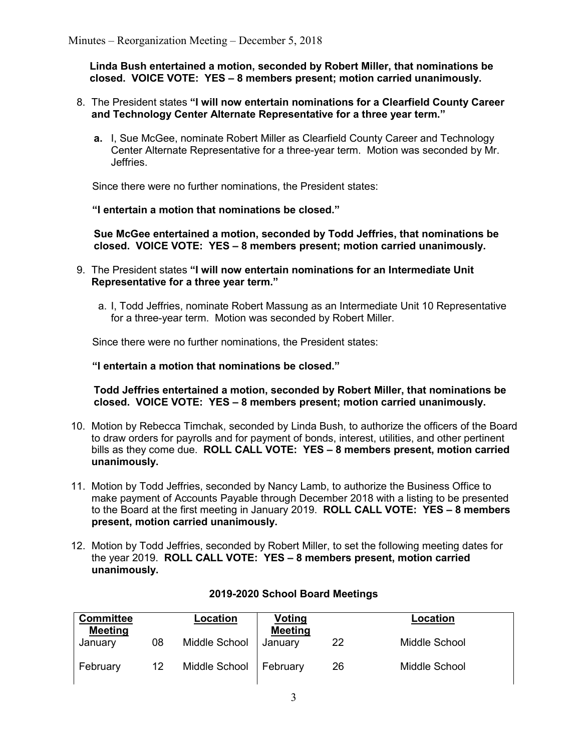**Linda Bush entertained a motion, seconded by Robert Miller, that nominations be closed. VOICE VOTE: YES – 8 members present; motion carried unanimously.**

- 8. The President states **"I will now entertain nominations for a Clearfield County Career and Technology Center Alternate Representative for a three year term."**
	- **a.** I, Sue McGee, nominate Robert Miller as Clearfield County Career and Technology Center Alternate Representative for a three-year term. Motion was seconded by Mr. Jeffries.

Since there were no further nominations, the President states:

#### **"I entertain a motion that nominations be closed."**

**Sue McGee entertained a motion, seconded by Todd Jeffries, that nominations be closed. VOICE VOTE: YES – 8 members present; motion carried unanimously.**

- 9. The President states **"I will now entertain nominations for an Intermediate Unit Representative for a three year term."**
	- a. I, Todd Jeffries, nominate Robert Massung as an Intermediate Unit 10 Representative for a three-year term. Motion was seconded by Robert Miller.

Since there were no further nominations, the President states:

**"I entertain a motion that nominations be closed."**

**Todd Jeffries entertained a motion, seconded by Robert Miller, that nominations be closed. VOICE VOTE: YES – 8 members present; motion carried unanimously.**

- 10. Motion by Rebecca Timchak, seconded by Linda Bush, to authorize the officers of the Board to draw orders for payrolls and for payment of bonds, interest, utilities, and other pertinent bills as they come due. **ROLL CALL VOTE: YES – 8 members present, motion carried unanimously.**
- 11. Motion by Todd Jeffries, seconded by Nancy Lamb, to authorize the Business Office to make payment of Accounts Payable through December 2018 with a listing to be presented to the Board at the first meeting in January 2019. **ROLL CALL VOTE: YES – 8 members present, motion carried unanimously.**
- 12. Motion by Todd Jeffries, seconded by Robert Miller, to set the following meeting dates for the year 2019. **ROLL CALL VOTE: YES – 8 members present, motion carried unanimously.**

| <b>Committee</b><br><b>Meeting</b> |    | Location      | Voting<br><b>Meeting</b> |    | Location      |
|------------------------------------|----|---------------|--------------------------|----|---------------|
| January                            | 08 | Middle School | Januarv                  | 22 | Middle School |
| February                           | 12 | Middle School | February                 | 26 | Middle School |

### **2019-2020 School Board Meetings**